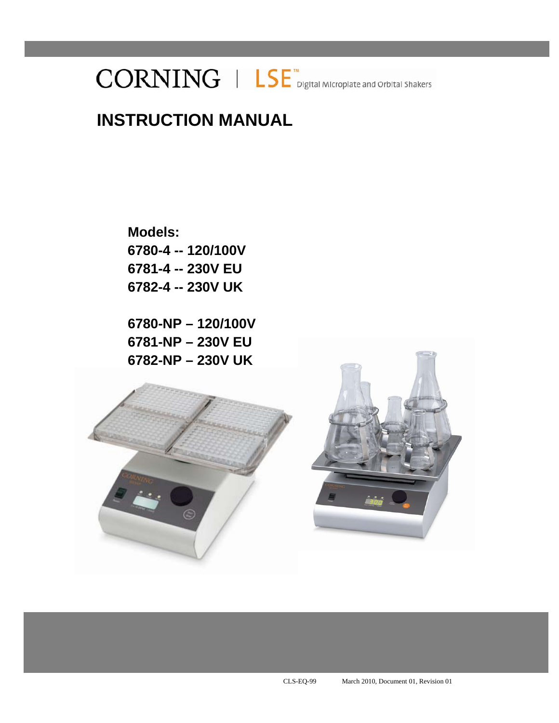# $CORNING \perp \textsf{LSE}$  Digital Microplate and Orbital Shakers

# **INSTRUCTION MANUAL**

**Models: 6780-4 -- 120/100V 6781-4 -- 230V EU 6782-4 -- 230V UK** 

**6780-NP – 120/100V 6781-NP – 230V EU 6782-NP – 230V UK** 



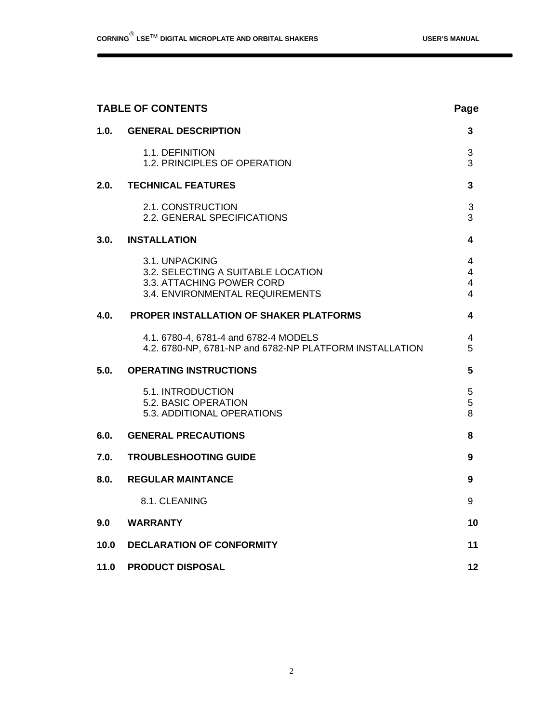| <b>TABLE OF CONTENTS</b> |                                                                                                                      |                                            |
|--------------------------|----------------------------------------------------------------------------------------------------------------------|--------------------------------------------|
| 1.0.                     | <b>GENERAL DESCRIPTION</b>                                                                                           | 3                                          |
|                          | 1.1. DEFINITION<br>1.2. PRINCIPLES OF OPERATION                                                                      | 3<br>3                                     |
| 2.0.                     | <b>TECHNICAL FEATURES</b>                                                                                            | 3                                          |
|                          | 2.1. CONSTRUCTION<br>2.2. GENERAL SPECIFICATIONS                                                                     | 3<br>3                                     |
| 3.0.                     | <b>INSTALLATION</b>                                                                                                  | 4                                          |
|                          | 3.1. UNPACKING<br>3.2. SELECTING A SUITABLE LOCATION<br>3.3. ATTACHING POWER CORD<br>3.4. ENVIRONMENTAL REQUIREMENTS | 4<br>$\overline{4}$<br>$\overline{4}$<br>4 |
| 4.0.                     | PROPER INSTALLATION OF SHAKER PLATFORMS                                                                              | 4                                          |
|                          | 4.1. 6780-4, 6781-4 and 6782-4 MODELS<br>4.2. 6780-NP, 6781-NP and 6782-NP PLATFORM INSTALLATION                     | 4<br>5                                     |
| 5.0.                     | <b>OPERATING INSTRUCTIONS</b>                                                                                        | 5                                          |
|                          | 5.1. INTRODUCTION<br>5.2. BASIC OPERATION<br>5.3. ADDITIONAL OPERATIONS                                              | 5<br>5<br>8                                |
| 6.0.                     | <b>GENERAL PRECAUTIONS</b>                                                                                           | 8                                          |
| 7.0.                     | <b>TROUBLESHOOTING GUIDE</b>                                                                                         | 9                                          |
| 8.0.                     | <b>REGULAR MAINTANCE</b>                                                                                             | 9                                          |
|                          | 8.1 CLEANING                                                                                                         | 9                                          |
| 9.0                      | <b>WARRANTY</b>                                                                                                      | 10                                         |
| 10.0                     | <b>DECLARATION OF CONFORMITY</b>                                                                                     | 11                                         |
| 11.0                     | <b>PRODUCT DISPOSAL</b>                                                                                              | 12                                         |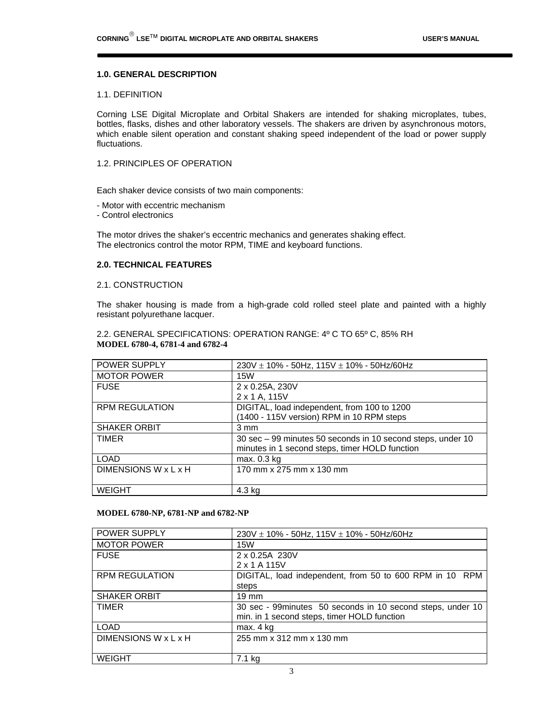#### **1.0. GENERAL DESCRIPTION**

#### 1.1. DEFINITION

Corning LSE Digital Microplate and Orbital Shakers are intended for shaking microplates, tubes, bottles, flasks, dishes and other laboratory vessels. The shakers are driven by asynchronous motors, which enable silent operation and constant shaking speed independent of the load or power supply fluctuations.

#### 1.2. PRINCIPLES OF OPERATION

Each shaker device consists of two main components:

- Motor with eccentric mechanism

- Control electronics

The motor drives the shaker's eccentric mechanics and generates shaking effect. The electronics control the motor RPM, TIME and keyboard functions.

#### **2.0. TECHNICAL FEATURES**

#### 2.1. CONSTRUCTION

The shaker housing is made from a high-grade cold rolled steel plate and painted with a highly resistant polyurethane lacquer.

2.2. GENERAL SPECIFICATIONS: OPERATION RANGE: 4º C TO 65º C, 85% RH **MODEL 6780-4, 6781-4 and 6782-4**

| POWER SUPPLY          | $230V \pm 10\%$ - 50Hz, 115V $\pm$ 10% - 50Hz/60Hz          |
|-----------------------|-------------------------------------------------------------|
| <b>MOTOR POWER</b>    | 15W                                                         |
| <b>FUSE</b>           | 2 x 0.25A, 230V                                             |
|                       | 2 x 1 A, 115V                                               |
| <b>RPM REGULATION</b> | DIGITAL, load independent, from 100 to 1200                 |
|                       | (1400 - 115V version) RPM in 10 RPM steps                   |
| <b>SHAKER ORBIT</b>   | 3 mm                                                        |
| <b>TIMER</b>          | 30 sec - 99 minutes 50 seconds in 10 second steps, under 10 |
|                       | minutes in 1 second steps, timer HOLD function              |
| <b>LOAD</b>           | max. 0.3 kg                                                 |
| DIMENSIONS W x L x H  | 170 mm x 275 mm x 130 mm                                    |
|                       |                                                             |
| <b>WEIGHT</b>         | 4.3 kg                                                      |

#### **MODEL 6780-NP, 6781-NP and 6782-NP**

| POWER SUPPLY          | $230V \pm 10\%$ - 50Hz, 115V $\pm$ 10% - 50Hz/60Hz                                                        |
|-----------------------|-----------------------------------------------------------------------------------------------------------|
| <b>MOTOR POWER</b>    | 15W                                                                                                       |
| <b>FUSE</b>           | 2 x 0.25A 230V<br>2 x 1 A 115V                                                                            |
| <b>RPM REGULATION</b> | DIGITAL, load independent, from 50 to 600 RPM in 10 RPM<br>steps                                          |
| <b>SHAKER ORBIT</b>   | $19 \text{ mm}$                                                                                           |
| <b>TIMER</b>          | 30 sec - 99minutes 50 seconds in 10 second steps, under 10<br>min. in 1 second steps, timer HOLD function |
| <b>LOAD</b>           | max. 4 kg                                                                                                 |
| DIMENSIONS W x L x H  | 255 mm x 312 mm x 130 mm                                                                                  |
| <b>WEIGHT</b>         | 7.1 kg                                                                                                    |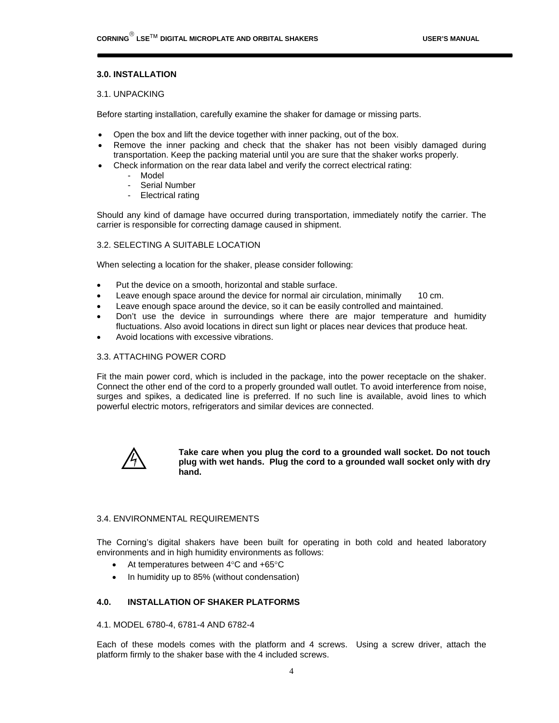#### **3.0. INSTALLATION**

#### 3.1. UNPACKING

Before starting installation, carefully examine the shaker for damage or missing parts.

- Open the box and lift the device together with inner packing, out of the box.
- Remove the inner packing and check that the shaker has not been visibly damaged during transportation. Keep the packing material until you are sure that the shaker works properly.
- Check information on the rear data label and verify the correct electrical rating:
	- Model
	- Serial Number
	- Electrical rating

Should any kind of damage have occurred during transportation, immediately notify the carrier. The carrier is responsible for correcting damage caused in shipment.

#### 3.2. SELECTING A SUITABLE LOCATION

When selecting a location for the shaker, please consider following:

- Put the device on a smooth, horizontal and stable surface.
- Leave enough space around the device for normal air circulation, minimally 10 cm.
- Leave enough space around the device, so it can be easily controlled and maintained.
- Don't use the device in surroundings where there are major temperature and humidity fluctuations. Also avoid locations in direct sun light or places near devices that produce heat.
- Avoid locations with excessive vibrations.

#### 3.3. ATTACHING POWER CORD

Fit the main power cord, which is included in the package, into the power receptacle on the shaker. Connect the other end of the cord to a properly grounded wall outlet. To avoid interference from noise, surges and spikes, a dedicated line is preferred. If no such line is available, avoid lines to which powerful electric motors, refrigerators and similar devices are connected.



**Take care when you plug the cord to a grounded wall socket. Do not touch plug with wet hands. Plug the cord to a grounded wall socket only with dry hand.** 

#### 3.4. ENVIRONMENTAL REQUIREMENTS

The Corning's digital shakers have been built for operating in both cold and heated laboratory environments and in high humidity environments as follows:

- At temperatures between  $4^{\circ}$ C and  $+65^{\circ}$ C
- In humidity up to 85% (without condensation)

#### **4.0. INSTALLATION OF SHAKER PLATFORMS**

#### 4.1. MODEL 6780-4, 6781-4 AND 6782-4

Each of these models comes with the platform and 4 screws. Using a screw driver, attach the platform firmly to the shaker base with the 4 included screws.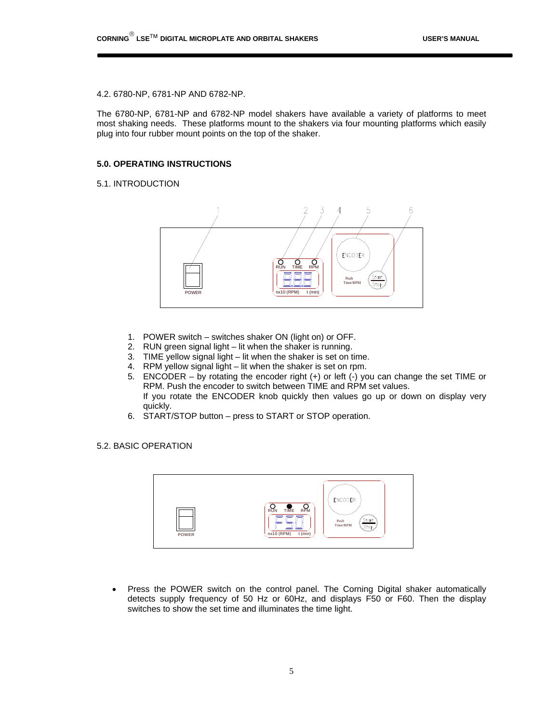#### 4.2. 6780-NP, 6781-NP AND 6782-NP.

The 6780-NP, 6781-NP and 6782-NP model shakers have available a variety of platforms to meet most shaking needs. These platforms mount to the shakers via four mounting platforms which easily plug into four rubber mount points on the top of the shaker.

#### **5.0. OPERATING INSTRUCTIONS**

#### 5.1. INTRODUCTION



- 1. POWER switch switches shaker ON (light on) or OFF.
- 2. RUN green signal light lit when the shaker is running.
- 3. TIME yellow signal light lit when the shaker is set on time.
- 4. RPM yellow signal light lit when the shaker is set on rpm.
- 5. ENCODER by rotating the encoder right (+) or left (-) you can change the set TIME or RPM. Push the encoder to switch between TIME and RPM set values. If you rotate the ENCODER knob quickly then values go up or down on display very quickly.
- 6. START/STOP button press to START or STOP operation.

#### 5.2. BASIC OPERATION



• Press the POWER switch on the control panel. The Corning Digital shaker automatically detects supply frequency of 50 Hz or 60Hz, and displays F50 or F60. Then the display switches to show the set time and illuminates the time light.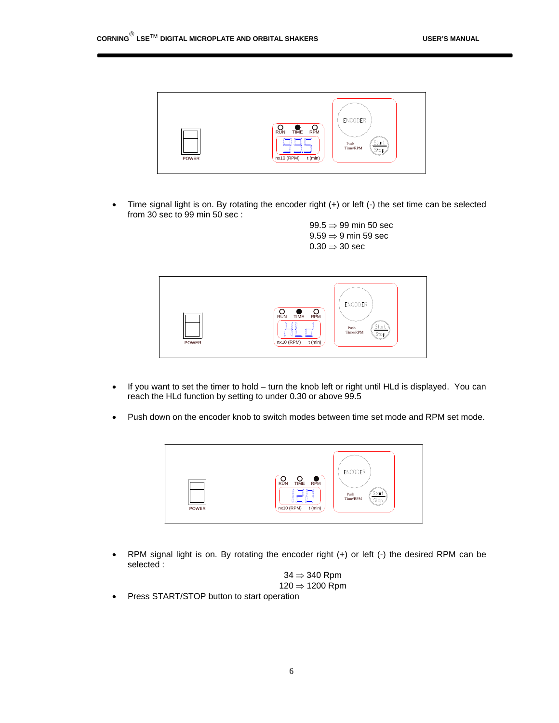

• Time signal light is on. By rotating the encoder right (+) or left (-) the set time can be selected from 30 sec to 99 min 50 sec :

> 99.5  $\Rightarrow$  99 min 50 sec  $9.59 \Rightarrow 9$  min 59 sec  $0.30 \Rightarrow 30 \text{ sec}$



- If you want to set the timer to hold turn the knob left or right until HLd is displayed. You can reach the HLd function by setting to under 0.30 or above 99.5
- Push down on the encoder knob to switch modes between time set mode and RPM set mode.



 RPM signal light is on. By rotating the encoder right (+) or left (-) the desired RPM can be selected :



• Press START/STOP button to start operation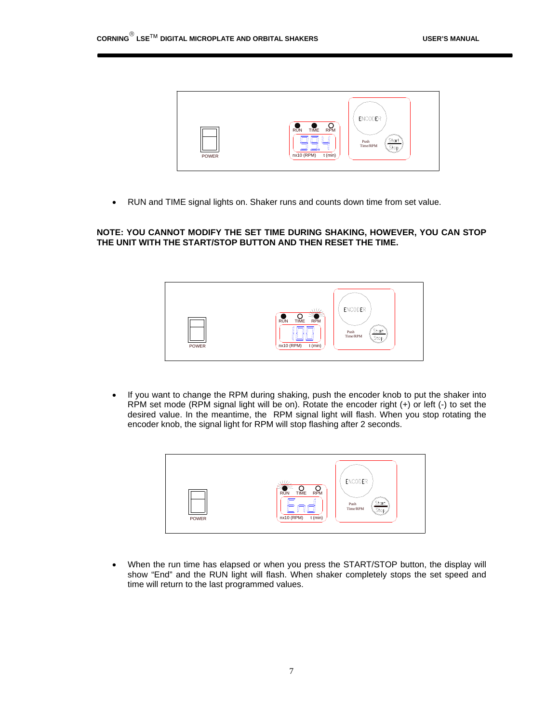

RUN and TIME signal lights on. Shaker runs and counts down time from set value.

#### **NOTE: YOU CANNOT MODIFY THE SET TIME DURING SHAKING, HOWEVER, YOU CAN STOP THE UNIT WITH THE START/STOP BUTTON AND THEN RESET THE TIME.**



• If you want to change the RPM during shaking, push the encoder knob to put the shaker into RPM set mode (RPM signal light will be on). Rotate the encoder right (+) or left (-) to set the desired value. In the meantime, the RPM signal light will flash. When you stop rotating the encoder knob, the signal light for RPM will stop flashing after 2 seconds.



 When the run time has elapsed or when you press the START/STOP button, the display will show "End" and the RUN light will flash. When shaker completely stops the set speed and time will return to the last programmed values.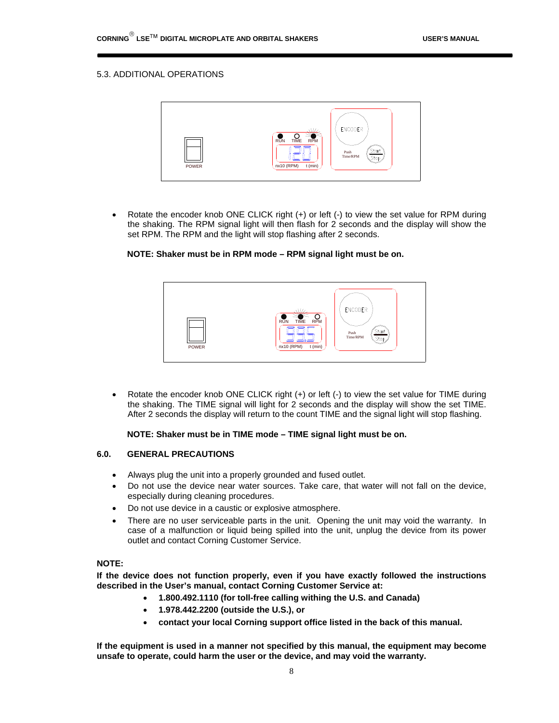#### 5.3. ADDITIONAL OPERATIONS



 Rotate the encoder knob ONE CLICK right (+) or left (-) to view the set value for RPM during the shaking. The RPM signal light will then flash for 2 seconds and the display will show the set RPM. The RPM and the light will stop flashing after 2 seconds.

#### **NOTE: Shaker must be in RPM mode – RPM signal light must be on.**



 Rotate the encoder knob ONE CLICK right (+) or left (-) to view the set value for TIME during the shaking. The TIME signal will light for 2 seconds and the display will show the set TIME. After 2 seconds the display will return to the count TIME and the signal light will stop flashing.

#### **NOTE: Shaker must be in TIME mode – TIME signal light must be on.**

#### **6.0. GENERAL PRECAUTIONS**

- Always plug the unit into a properly grounded and fused outlet.
- Do not use the device near water sources. Take care, that water will not fall on the device, especially during cleaning procedures.
- Do not use device in a caustic or explosive atmosphere.
- There are no user serviceable parts in the unit. Opening the unit may void the warranty. In case of a malfunction or liquid being spilled into the unit, unplug the device from its power outlet and contact Corning Customer Service.

#### **NOTE:**

**If the device does not function properly, even if you have exactly followed the instructions described in the User's manual, contact Corning Customer Service at:** 

- **1.800.492.1110 (for toll-free calling withing the U.S. and Canada)**
- **1.978.442.2200 (outside the U.S.), or**
- **contact your local Corning support office listed in the back of this manual.**

**If the equipment is used in a manner not specified by this manual, the equipment may become unsafe to operate, could harm the user or the device, and may void the warranty.**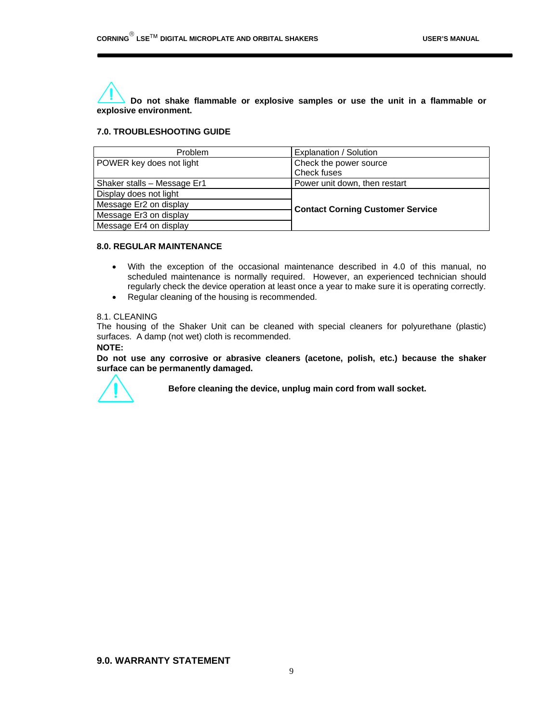**Do not shake flammable or explosive samples or use the unit in a flammable or explosive environment.** 

#### **7.0. TROUBLESHOOTING GUIDE**

| Problem                     | Explanation / Solution                  |  |
|-----------------------------|-----------------------------------------|--|
| POWER key does not light    | Check the power source                  |  |
|                             | Check fuses                             |  |
| Shaker stalls - Message Er1 | Power unit down, then restart           |  |
| Display does not light      | <b>Contact Corning Customer Service</b> |  |
| Message Er2 on display      |                                         |  |
| Message Er3 on display      |                                         |  |
| Message Er4 on display      |                                         |  |

#### **8.0. REGULAR MAINTENANCE**

- With the exception of the occasional maintenance described in 4.0 of this manual, no scheduled maintenance is normally required. However, an experienced technician should regularly check the device operation at least once a year to make sure it is operating correctly.
- Regular cleaning of the housing is recommended.

#### 8.1. CLEANING

The housing of the Shaker Unit can be cleaned with special cleaners for polyurethane (plastic) surfaces. A damp (not wet) cloth is recommended.

#### **NOTE:**

**Do not use any corrosive or abrasive cleaners (acetone, polish, etc.) because the shaker surface can be permanently damaged.**



**Before cleaning the device, unplug main cord from wall socket.**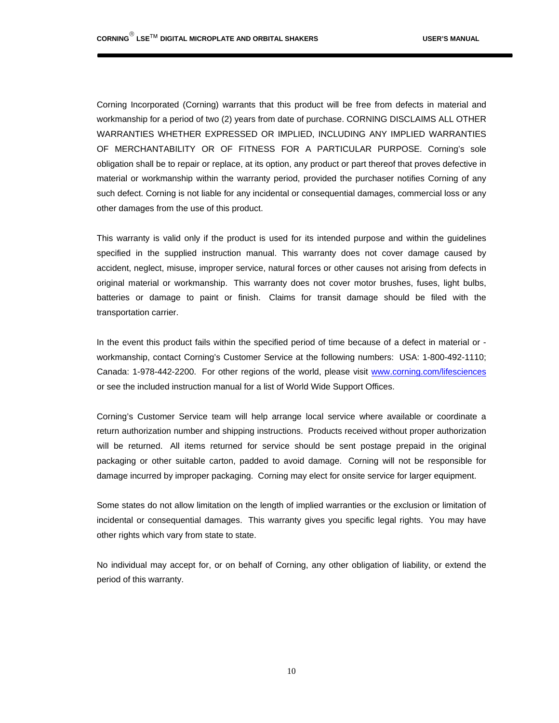Corning Incorporated (Corning) warrants that this product will be free from defects in material and workmanship for a period of two (2) years from date of purchase. CORNING DISCLAIMS ALL OTHER WARRANTIES WHETHER EXPRESSED OR IMPLIED, INCLUDING ANY IMPLIED WARRANTIES OF MERCHANTABILITY OR OF FITNESS FOR A PARTICULAR PURPOSE. Corning's sole obligation shall be to repair or replace, at its option, any product or part thereof that proves defective in material or workmanship within the warranty period, provided the purchaser notifies Corning of any such defect. Corning is not liable for any incidental or consequential damages, commercial loss or any other damages from the use of this product.

This warranty is valid only if the product is used for its intended purpose and within the guidelines specified in the supplied instruction manual. This warranty does not cover damage caused by accident, neglect, misuse, improper service, natural forces or other causes not arising from defects in original material or workmanship. This warranty does not cover motor brushes, fuses, light bulbs, batteries or damage to paint or finish. Claims for transit damage should be filed with the transportation carrier.

In the event this product fails within the specified period of time because of a defect in material or workmanship, contact Corning's Customer Service at the following numbers: USA: 1-800-492-1110; Canada: 1-978-442-2200. For other regions of the world, please visit www.corning.com/lifesciences or see the included instruction manual for a list of World Wide Support Offices.

Corning's Customer Service team will help arrange local service where available or coordinate a return authorization number and shipping instructions. Products received without proper authorization will be returned. All items returned for service should be sent postage prepaid in the original packaging or other suitable carton, padded to avoid damage. Corning will not be responsible for damage incurred by improper packaging. Corning may elect for onsite service for larger equipment.

Some states do not allow limitation on the length of implied warranties or the exclusion or limitation of incidental or consequential damages. This warranty gives you specific legal rights. You may have other rights which vary from state to state.

No individual may accept for, or on behalf of Corning, any other obligation of liability, or extend the period of this warranty.

10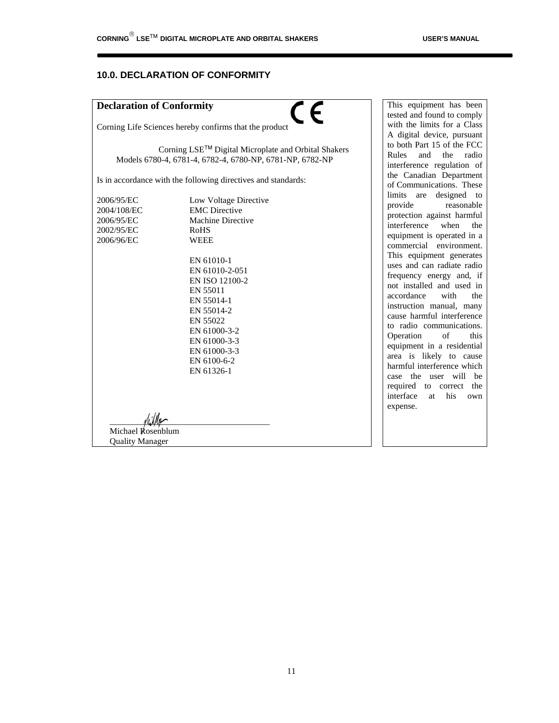#### **10.0. DECLARATION OF CONFORMITY**

#### **Declaration of Conformity**



Corning Life Sciences hereby confirms that the product

Corning LSE<sup>™</sup> Digital Microplate and Orbital Shakers Models 6780-4, 6781-4, 6782-4, 6780-NP, 6781-NP, 6782-NP

Is in accordance with the following directives and standards:

2002/95/EC RoHS 2006/96/EC WEEE

2006/95/EC Low Voltage Directive<br>2004/108/EC EMC Directive **EMC** Directive 2006/95/EC Machine Directive EN 61010-1 EN 61010-2-051 EN ISO 12100-2 EN 55011 EN 55014-1 EN 55014-2 EN 55022 EN 61000-3-2 EN 61000-3-3 EN 61000-3-3 EN 6100-6-2 EN 61326-1

This equipment has been tested and found to comply with the limits for a Class A digital device, pursuant to both Part 15 of the FCC Rules and the radio interference regulation of the Canadian Department of Communications. These limits are designed to<br>provide reasonable reasonable protection against harmful interference when the equipment is operated in a commercial environment. This equipment generates uses and can radiate radio frequency energy and, if not installed and used in accordance with the instruction manual, many cause harmful interference to radio communications. Operation of this equipment in a residential area is likely to cause harmful interference which case the user will be required to correct the interface at his own expense.

 $\frac{1}{\sqrt{2}}$  Michael Rosenblum Quality Manager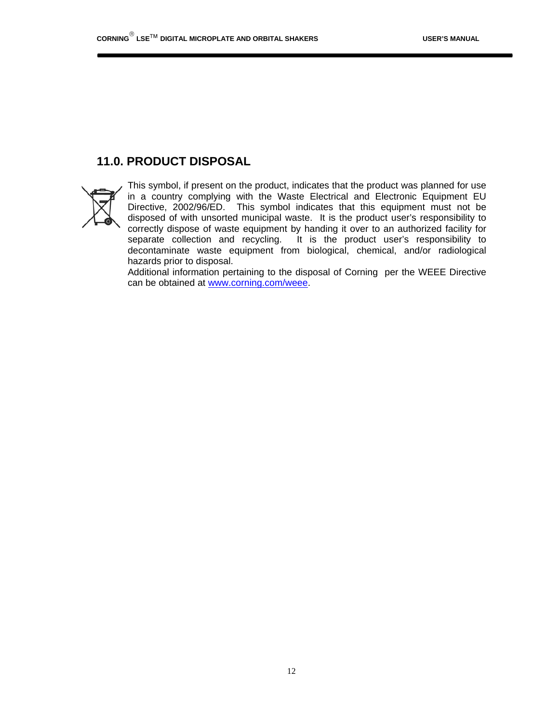## **11.0. PRODUCT DISPOSAL**



This symbol, if present on the product, indicates that the product was planned for use in a country complying with the Waste Electrical and Electronic Equipment EU Directive, 2002/96/ED. This symbol indicates that this equipment must not be disposed of with unsorted municipal waste. It is the product user's responsibility to correctly dispose of waste equipment by handing it over to an authorized facility for separate collection and recycling. It is the product user's responsibility to decontaminate waste equipment from biological, chemical, and/or radiological hazards prior to disposal.

Additional information pertaining to the disposal of Corning per the WEEE Directive can be obtained at www.corning.com/weee.